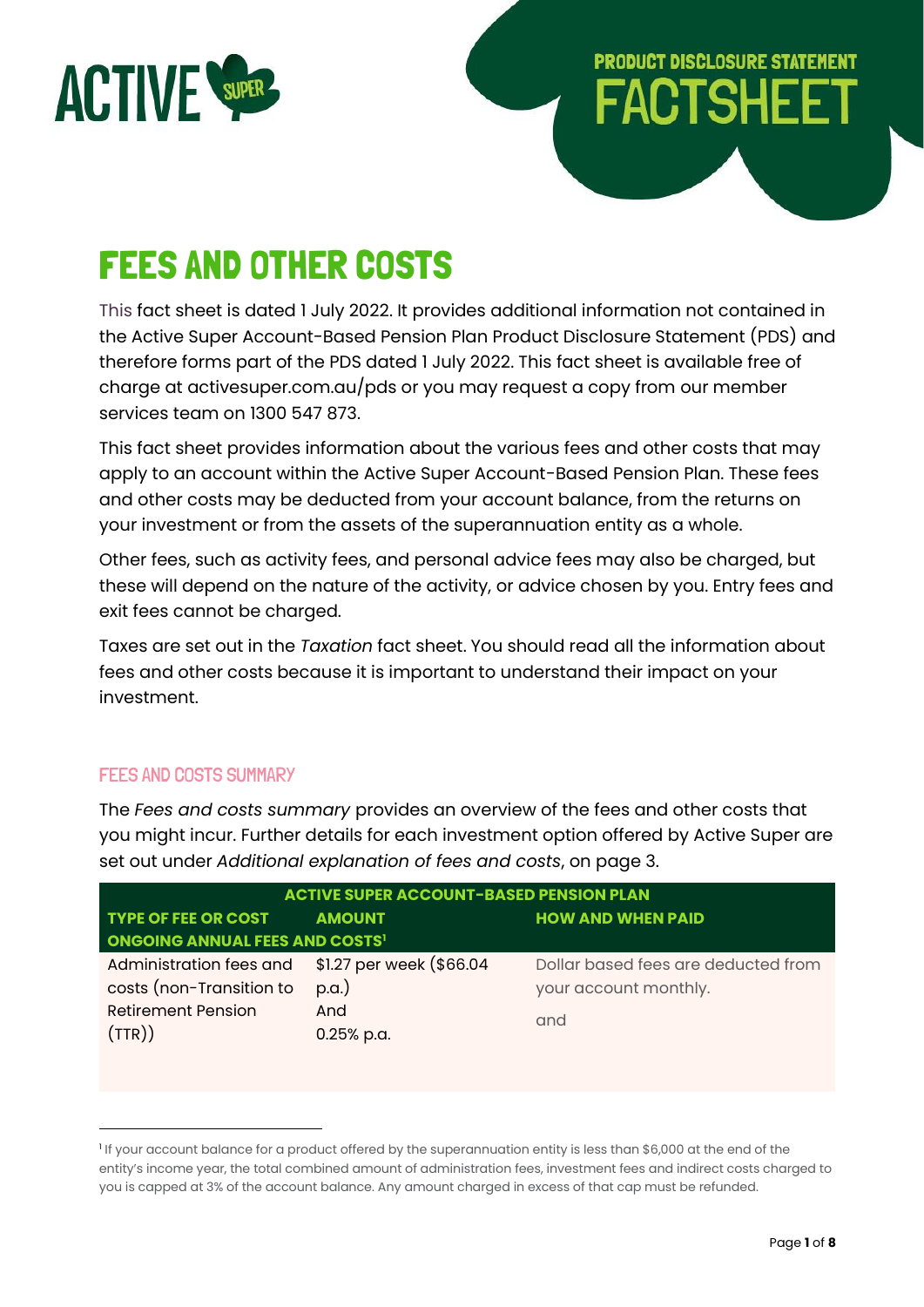

# **PRODUCT DISCLOSURE STATEMENT FACTSHEET**

# FEES AND OTHER COSTS

This fact sheet is dated 1 July 2022. It provides additional information not contained in the Active Super Account-Based Pension Plan Product Disclosure Statement (PDS) and therefore forms part of the PDS dated 1 July 2022. This fact sheet is available free of charge at activesuper.com.au/pds or you may request a copy from our member services team on 1300 547 873.

This fact sheet provides information about the various fees and other costs that may apply to an account within the Active Super Account-Based Pension Plan. These fees and other costs may be deducted from your account balance, from the returns on your investment or from the assets of the superannuation entity as a whole.

Other fees, such as activity fees, and personal advice fees may also be charged, but these will depend on the nature of the activity, or advice chosen by you. Entry fees and exit fees cannot be charged.

Taxes are set out in the *Taxation* fact sheet. You should read all the information about fees and other costs because it is important to understand their impact on your investment.

# FEES AND COSTS SUMMARY

The *Fees and costs summary* provides an overview of the fees and other costs that you might incur. Further details for each investment option offered by Active Super are set out under *Additional explanation of fees and costs*, on page 3.

| <b>ACTIVE SUPER ACCOUNT-BASED PENSION PLAN</b> |                          |                                     |  |  |
|------------------------------------------------|--------------------------|-------------------------------------|--|--|
| <b>TYPE OF FEE OR COST</b>                     | <b>AMOUNT</b>            | <b>HOW AND WHEN PAID</b>            |  |  |
| <b>ONGOING ANNUAL FEES AND COSTS'</b>          |                          |                                     |  |  |
| Administration fees and                        | \$1.27 per week (\$66.04 | Dollar based fees are deducted from |  |  |
| costs (non-Transition to                       | $p.a.$ )                 | your account monthly.               |  |  |
| <b>Retirement Pension</b>                      | And                      | and                                 |  |  |
| (TTR))                                         | 0.25% p.a.               |                                     |  |  |
|                                                |                          |                                     |  |  |

<sup>1</sup> If your account balance for a product offered by the superannuation entity is less than \$6,000 at the end of the entity's income year, the total combined amount of administration fees, investment fees and indirect costs charged to you is capped at 3% of the account balance. Any amount charged in excess of that cap must be refunded.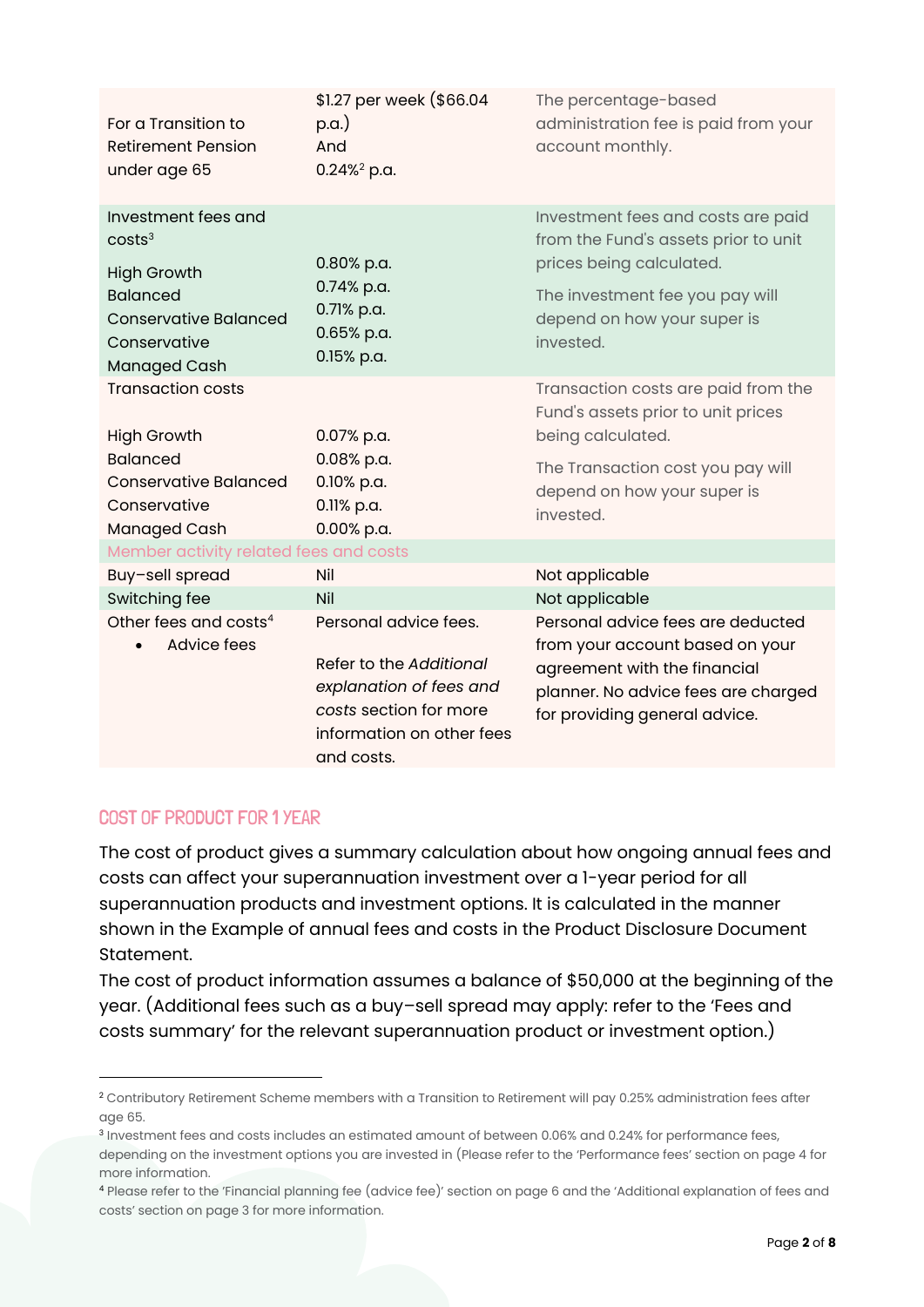| For a Transition to<br><b>Retirement Pension</b><br>under age 65                                                                                          | \$1.27 per week (\$66.04<br>$p.a.$ )<br>And<br>$0.24\%^2$ p.a.                                                                                   | The percentage-based<br>administration fee is paid from your<br>account monthly.                                                                                                      |  |  |  |  |
|-----------------------------------------------------------------------------------------------------------------------------------------------------------|--------------------------------------------------------------------------------------------------------------------------------------------------|---------------------------------------------------------------------------------------------------------------------------------------------------------------------------------------|--|--|--|--|
| Investment fees and<br>costs <sup>3</sup><br><b>High Growth</b><br><b>Balanced</b><br><b>Conservative Balanced</b><br>Conservative<br><b>Managed Cash</b> | 0.80% p.a.<br>0.74% p.a.<br>0.71% p.a.<br>0.65% p.a.<br>0.15% p.a.                                                                               | Investment fees and costs are paid<br>from the Fund's assets prior to unit<br>prices being calculated.<br>The investment fee you pay will<br>depend on how your super is<br>invested. |  |  |  |  |
| <b>Transaction costs</b><br><b>High Growth</b>                                                                                                            | 0.07% p.a.                                                                                                                                       | Transaction costs are paid from the<br>Fund's assets prior to unit prices<br>being calculated.                                                                                        |  |  |  |  |
| <b>Balanced</b><br><b>Conservative Balanced</b><br>Conservative<br>Managed Cash                                                                           | 0.08% p.a.<br>0.10% p.a.<br>0.11% p.a.<br>0.00% p.a.                                                                                             | The Transaction cost you pay will<br>depend on how your super is<br>invested.                                                                                                         |  |  |  |  |
| Member activity related fees and costs                                                                                                                    |                                                                                                                                                  |                                                                                                                                                                                       |  |  |  |  |
| Buy-sell spread                                                                                                                                           | Nil                                                                                                                                              | Not applicable                                                                                                                                                                        |  |  |  |  |
| Switching fee                                                                                                                                             | Nil                                                                                                                                              | Not applicable                                                                                                                                                                        |  |  |  |  |
| Other fees and costs <sup>4</sup><br>Advice fees                                                                                                          | Personal advice fees.<br>Refer to the Additional<br>explanation of fees and<br>costs section for more<br>information on other fees<br>and costs. | Personal advice fees are deducted<br>from your account based on your<br>agreement with the financial<br>planner. No advice fees are charged<br>for providing general advice.          |  |  |  |  |

# COST OF PRODUCT FOR 1 YEAR

The cost of product gives a summary calculation about how ongoing annual fees and costs can affect your superannuation investment over a 1-year period for all superannuation products and investment options. It is calculated in the manner shown in the Example of annual fees and costs in the Product Disclosure Document Statement.

The cost of product information assumes a balance of \$50,000 at the beginning of the year. (Additional fees such as a buy–sell spread may apply: refer to the 'Fees and costs summary' for the relevant superannuation product or investment option.)

<sup>2</sup> Contributory Retirement Scheme members with a Transition to Retirement will pay 0.25% administration fees after age 65.

<sup>3</sup> Investment fees and costs includes an estimated amount of between 0.06% and 0.24% for performance fees, depending on the investment options you are invested in (Please refer to the 'Performance fees' section on page 4 for more information.

<sup>4</sup> Please refer to the 'Financial planning fee (advice fee)' section on page 6 and the 'Additional explanation of fees and costs' section on page 3 for more information.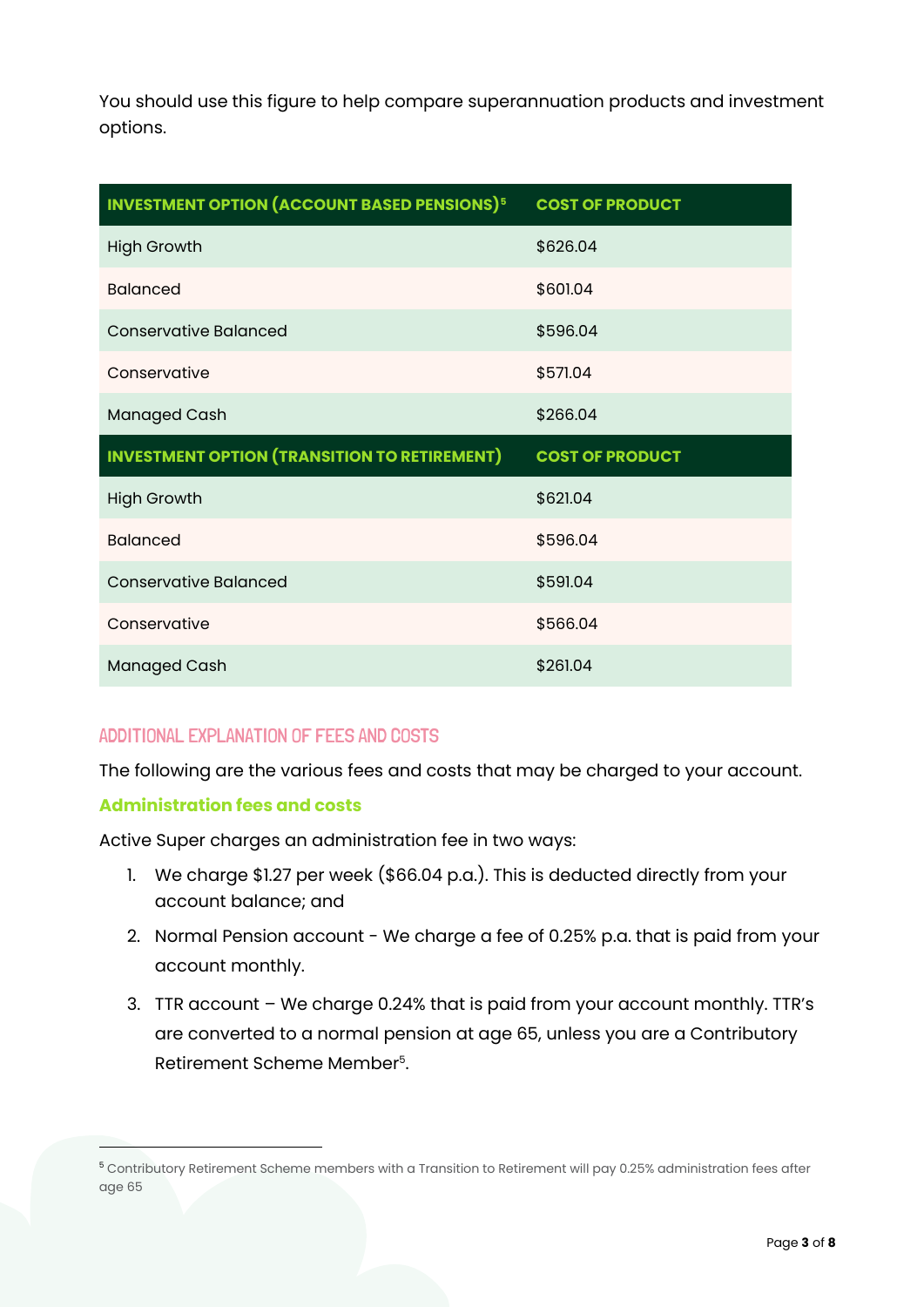You should use this figure to help compare superannuation products and investment options.

| <b>INVESTMENT OPTION (ACCOUNT BASED PENSIONS)<sup>5</sup></b> | <b>COST OF PRODUCT</b> |
|---------------------------------------------------------------|------------------------|
| <b>High Growth</b>                                            | \$626.04               |
| <b>Balanced</b>                                               | \$601.04               |
| <b>Conservative Balanced</b>                                  | \$596.04               |
| Conservative                                                  | \$571.04               |
| <b>Managed Cash</b>                                           | \$266.04               |
|                                                               |                        |
| <b>INVESTMENT OPTION (TRANSITION TO RETIREMENT)</b>           | <b>COST OF PRODUCT</b> |
| <b>High Growth</b>                                            | \$621.04               |
| <b>Balanced</b>                                               | \$596.04               |
| <b>Conservative Balanced</b>                                  | \$591.04               |
| Conservative                                                  | \$566.04               |

# ADDITIONAL EXPLANATION OF FEES AND COSTS

The following are the various fees and costs that may be charged to your account.

## **Administration fees and costs**

Active Super charges an administration fee in two ways:

- 1. We charge \$1.27 per week (\$66.04 p.a.). This is deducted directly from your account balance; and
- 2. Normal Pension account We charge a fee of 0.25% p.a. that is paid from your account monthly.
- 3. TTR account We charge 0.24% that is paid from your account monthly. TTR's are converted to a normal pension at age 65, unless you are a Contributory Retirement Scheme Member<sup>5</sup>.

<sup>5</sup> Contributory Retirement Scheme members with a Transition to Retirement will pay 0.25% administration fees after age 65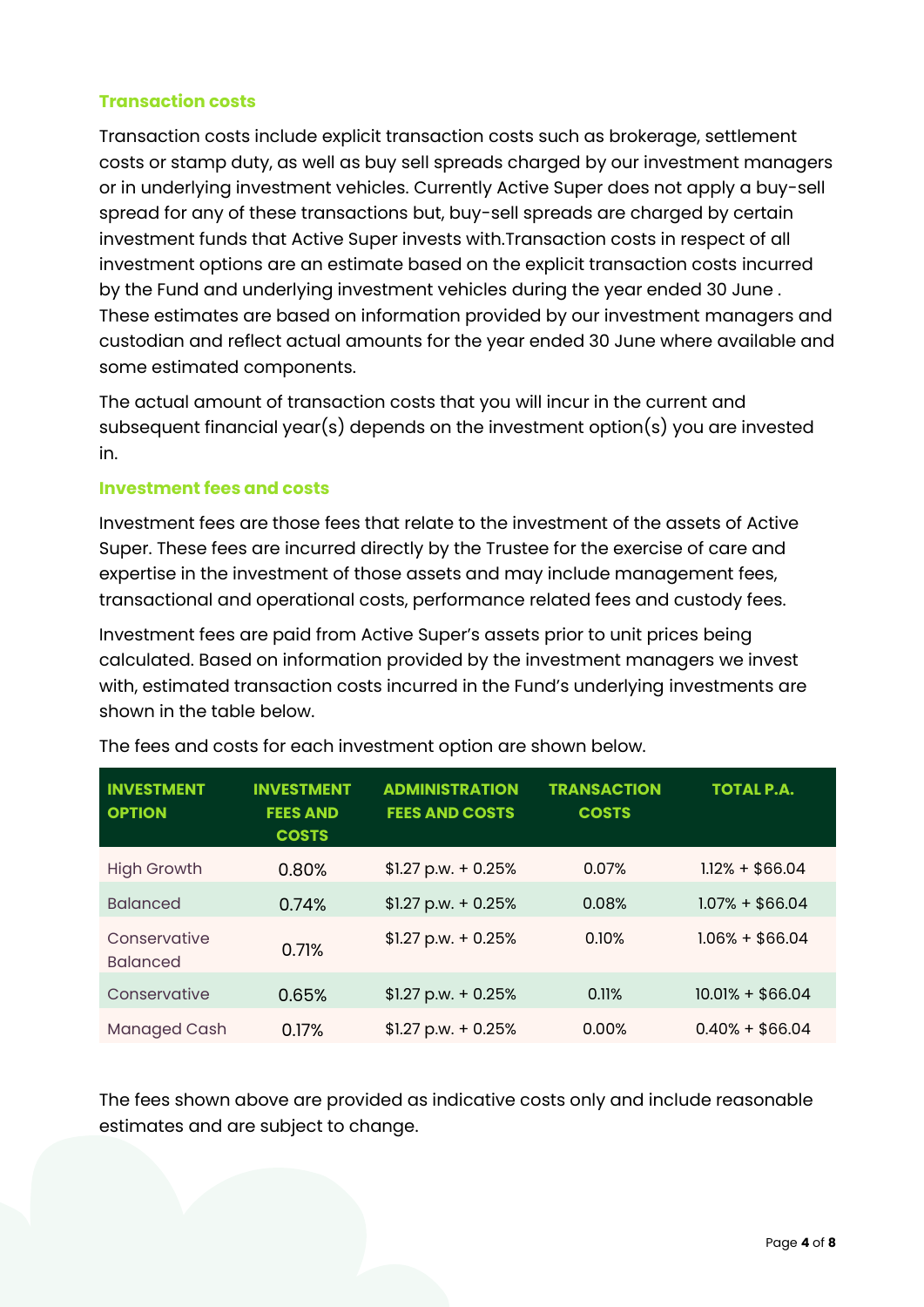# **Transaction costs**

Transaction costs include explicit transaction costs such as brokerage, settlement costs or stamp duty, as well as buy sell spreads charged by our investment managers or in underlying investment vehicles. Currently Active Super does not apply a buy-sell spread for any of these transactions but, buy-sell spreads are charged by certain investment funds that Active Super invests with.Transaction costs in respect of all investment options are an estimate based on the explicit transaction costs incurred by the Fund and underlying investment vehicles during the year ended 30 June . These estimates are based on information provided by our investment managers and custodian and reflect actual amounts for the year ended 30 June where available and some estimated components.

The actual amount of transaction costs that you will incur in the current and subsequent financial year(s) depends on the investment option(s) you are invested in.

## **Investment fees and costs**

Investment fees are those fees that relate to the investment of the assets of Active Super. These fees are incurred directly by the Trustee for the exercise of care and expertise in the investment of those assets and may include management fees, transactional and operational costs, performance related fees and custody fees.

Investment fees are paid from Active Super's assets prior to unit prices being calculated. Based on information provided by the investment managers we invest with, estimated transaction costs incurred in the Fund's underlying investments are shown in the table below.

| <b>INVESTMENT</b><br><b>OPTION</b> | <b>INVESTMENT</b><br><b>FEES AND</b><br><b>COSTS</b> | <b>ADMINISTRATION</b><br><b>FEES AND COSTS</b> | <b>TRANSACTION</b><br><b>COSTS</b> | <b>TOTAL P.A.</b> |
|------------------------------------|------------------------------------------------------|------------------------------------------------|------------------------------------|-------------------|
| <b>High Growth</b>                 | 0.80%                                                | $$1.27$ p.w. + 0.25%                           | 0.07%                              | $1.12% + $66.04$  |
| <b>Balanced</b>                    | 0.74%                                                | $$1.27$ p.w. + 0.25%                           | 0.08%                              | $1.07% + $66.04$  |
| Conservative<br><b>Balanced</b>    | 0.71%                                                | $$1.27$ p.w. + 0.25%                           | 0.10%                              | $1.06\% + $66.04$ |
| Conservative                       | 0.65%                                                | $$1.27$ p.w. + 0.25%                           | 0.11%                              | $10.01% + $66.04$ |
| <b>Managed Cash</b>                | 0.17%                                                | $$1.27$ p.w. + 0.25%                           | 0.00%                              | $0.40\% + $66.04$ |

The fees and costs for each investment option are shown below.

The fees shown above are provided as indicative costs only and include reasonable estimates and are subject to change.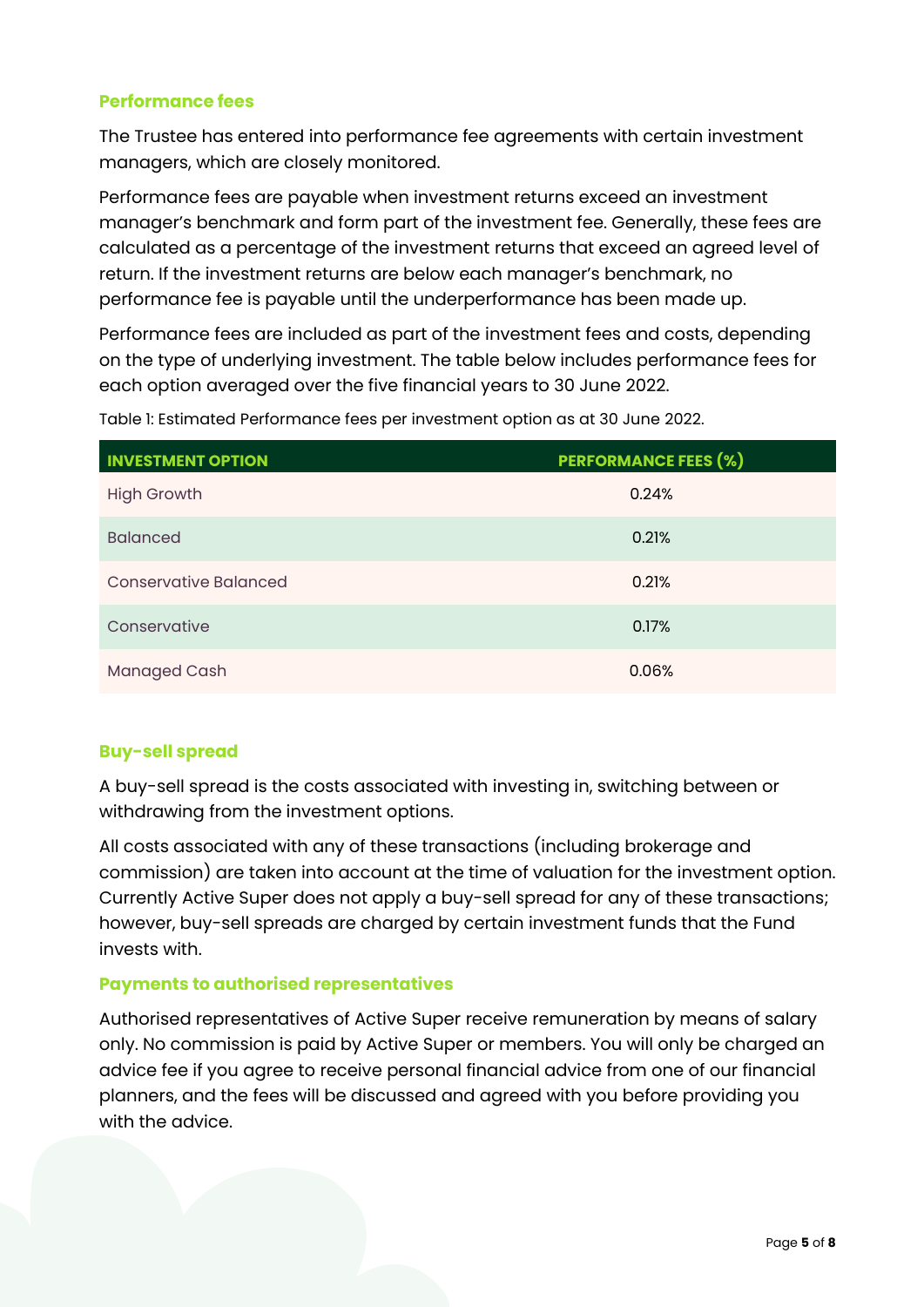# **Performance fees**

The Trustee has entered into performance fee agreements with certain investment managers, which are closely monitored.

Performance fees are payable when investment returns exceed an investment manager's benchmark and form part of the investment fee. Generally, these fees are calculated as a percentage of the investment returns that exceed an agreed level of return. If the investment returns are below each manager's benchmark, no performance fee is payable until the underperformance has been made up.

Performance fees are included as part of the investment fees and costs, depending on the type of underlying investment. The table below includes performance fees for each option averaged over the five financial years to 30 June 2022.

| <b>INVESTMENT OPTION</b>     | <b>PERFORMANCE FEES (%)</b> |
|------------------------------|-----------------------------|
| <b>High Growth</b>           | 0.24%                       |
| <b>Balanced</b>              | 0.21%                       |
| <b>Conservative Balanced</b> | 0.21%                       |
| Conservative                 | 0.17%                       |
| <b>Managed Cash</b>          | 0.06%                       |

Table 1: Estimated Performance fees per investment option as at 30 June 2022.

## **Buy-sell spread**

A buy-sell spread is the costs associated with investing in, switching between or withdrawing from the investment options.

All costs associated with any of these transactions (including brokerage and commission) are taken into account at the time of valuation for the investment option. Currently Active Super does not apply a buy-sell spread for any of these transactions; however, buy-sell spreads are charged by certain investment funds that the Fund invests with.

## **Payments to authorised representatives**

Authorised representatives of Active Super receive remuneration by means of salary only. No commission is paid by Active Super or members. You will only be charged an advice fee if you agree to receive personal financial advice from one of our financial planners, and the fees will be discussed and agreed with you before providing you with the advice.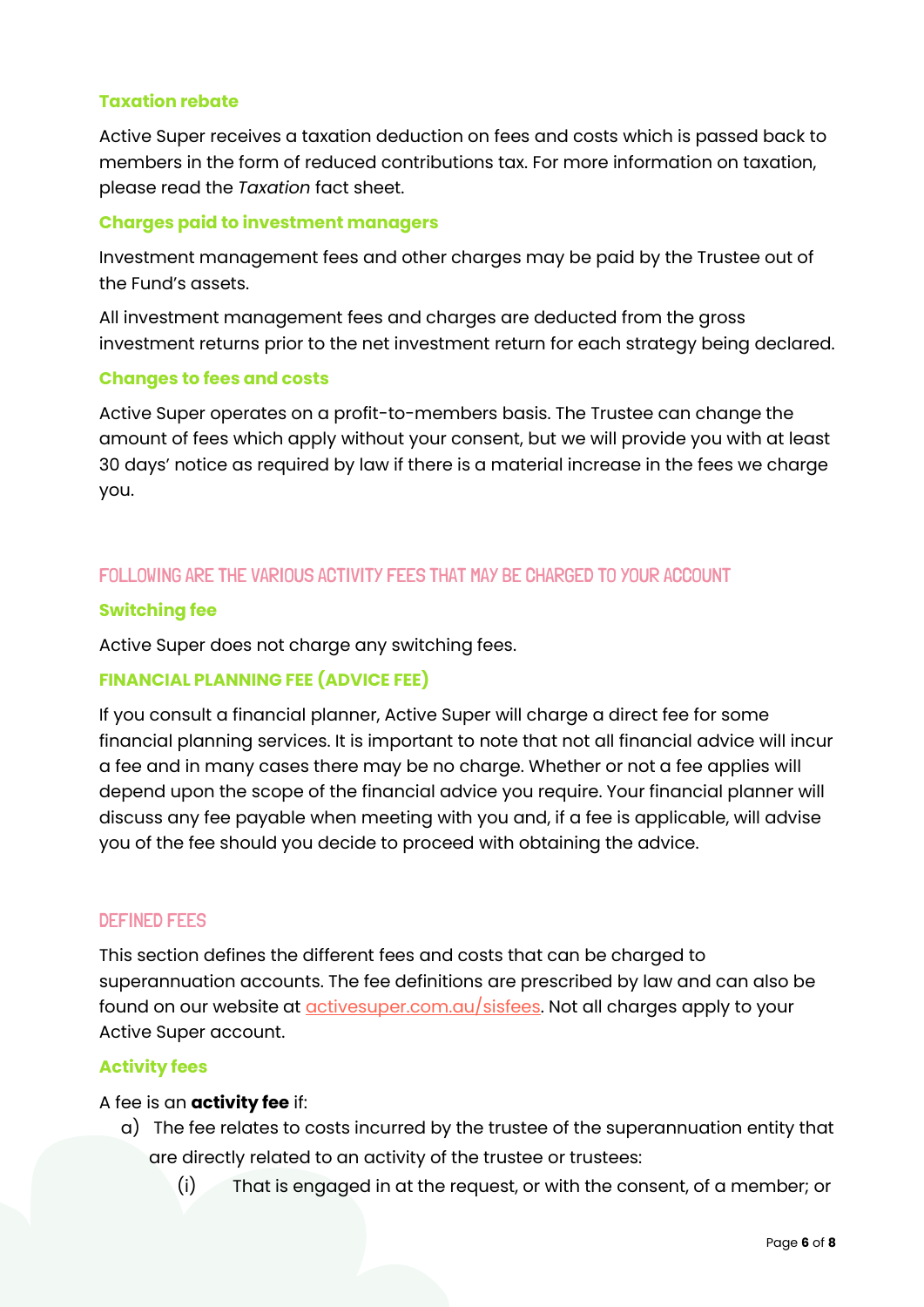#### **Taxation rebate**

Active Super receives a taxation deduction on fees and costs which is passed back to members in the form of reduced contributions tax. For more information on taxation, please read the *Taxation* fact sheet.

#### **Charges paid to investment managers**

Investment management fees and other charges may be paid by the Trustee out of the Fund's assets.

All investment management fees and charges are deducted from the gross investment returns prior to the net investment return for each strategy being declared.

#### **Changes to fees and costs**

Active Super operates on a profit-to-members basis. The Trustee can change the amount of fees which apply without your consent, but we will provide you with at least 30 days' notice as required by law if there is a material increase in the fees we charge you.

# FOLLOWING ARE THE VARIOUS ACTIVITY FEES THAT MAY BE CHARGED TO YOUR ACCOUNT

## **Switching fee**

Active Super does not charge any switching fees.

## **FINANCIAL PLANNING FEE (ADVICE FEE)**

If you consult a financial planner, Active Super will charge a direct fee for some financial planning services. It is important to note that not all financial advice will incur a fee and in many cases there may be no charge. Whether or not a fee applies will depend upon the scope of the financial advice you require. Your financial planner will discuss any fee payable when meeting with you and, if a fee is applicable, will advise you of the fee should you decide to proceed with obtaining the advice.

#### DEFINED FEES

This section defines the different fees and costs that can be charged to superannuation accounts. The fee definitions are prescribed by law and can also be found on our website at *activesuper.com.au/sisfees*. Not all charges apply to your Active Super account.

## **Activity fees**

#### A fee is an **activity fee** if:

- a) The fee relates to costs incurred by the trustee of the superannuation entity that are directly related to an activity of the trustee or trustees:
	- (i) That is engaged in at the request, or with the consent, of a member; or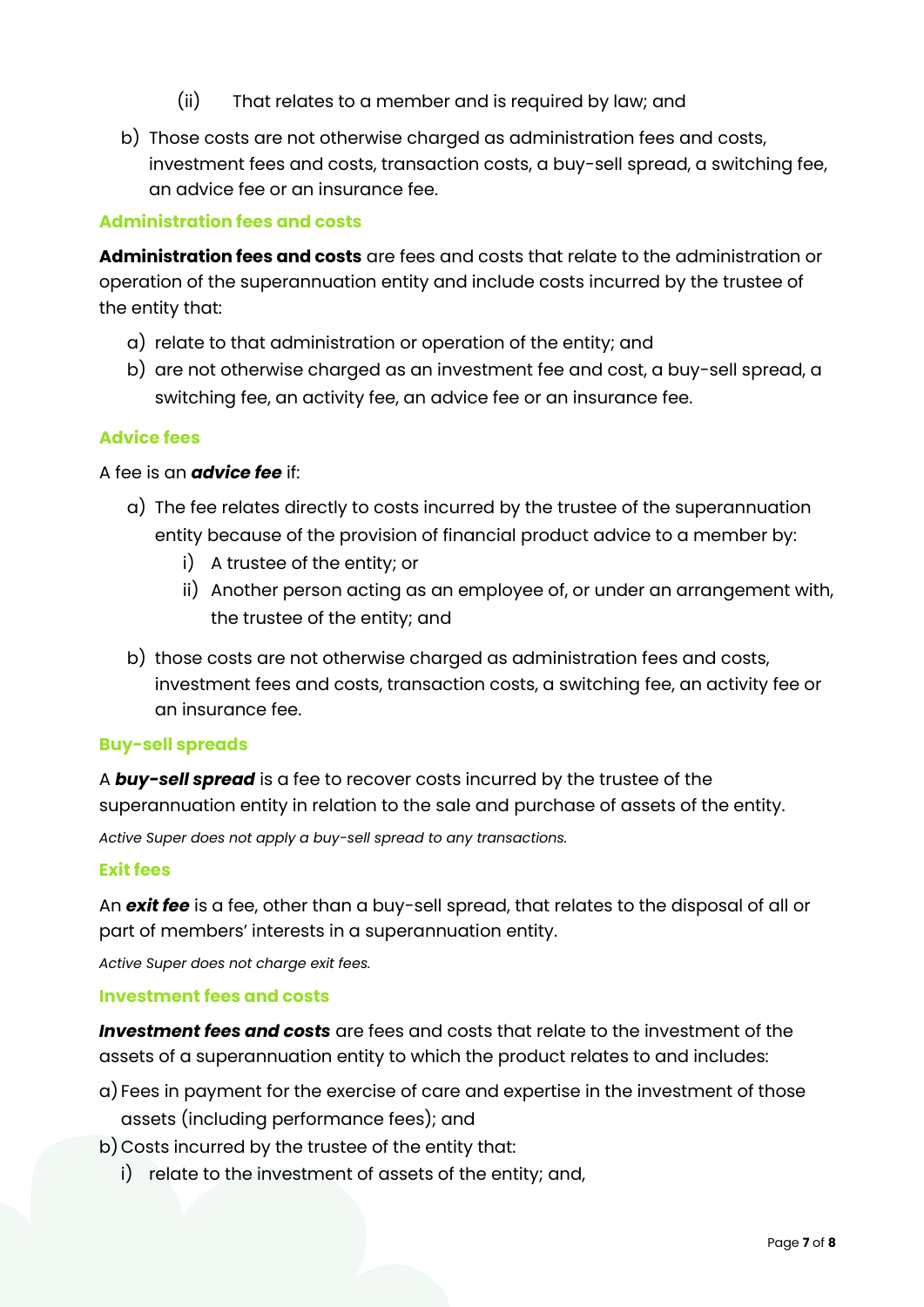- (ii) That relates to a member and is required by law; and
- b) Those costs are not otherwise charged as administration fees and costs, investment fees and costs, transaction costs, a buy-sell spread, a switching fee, an advice fee or an insurance fee.

# **Administration fees and costs**

**Administration fees and costs** are fees and costs that relate to the administration or operation of the superannuation entity and include costs incurred by the trustee of the entity that:

- a) relate to that administration or operation of the entity; and
- b) are not otherwise charged as an investment fee and cost, a buy-sell spread, a switching fee, an activity fee, an advice fee or an insurance fee.

## **Advice fees**

## A fee is an *advice fee* if:

- a) The fee relates directly to costs incurred by the trustee of the superannuation entity because of the provision of financial product advice to a member by:
	- i) A trustee of the entity; or
	- ii) Another person acting as an employee of, or under an arrangement with, the trustee of the entity; and
- b) those costs are not otherwise charged as administration fees and costs, investment fees and costs, transaction costs, a switching fee, an activity fee or an insurance fee.

#### **Buy-sell spreads**

A *buy-sell spread* is a fee to recover costs incurred by the trustee of the superannuation entity in relation to the sale and purchase of assets of the entity.

*Active Super does not apply a buy-sell spread to any transactions.*

#### **Exit fees**

An *exit fee* is a fee, other than a buy-sell spread, that relates to the disposal of all or part of members' interests in a superannuation entity.

*Active Super does not charge exit fees.*

#### **Investment fees and costs**

*Investment fees and costs* are fees and costs that relate to the investment of the assets of a superannuation entity to which the product relates to and includes:

- a) Fees in payment for the exercise of care and expertise in the investment of those assets (including performance fees); and
- b) Costs incurred by the trustee of the entity that:
	- i) relate to the investment of assets of the entity; and,